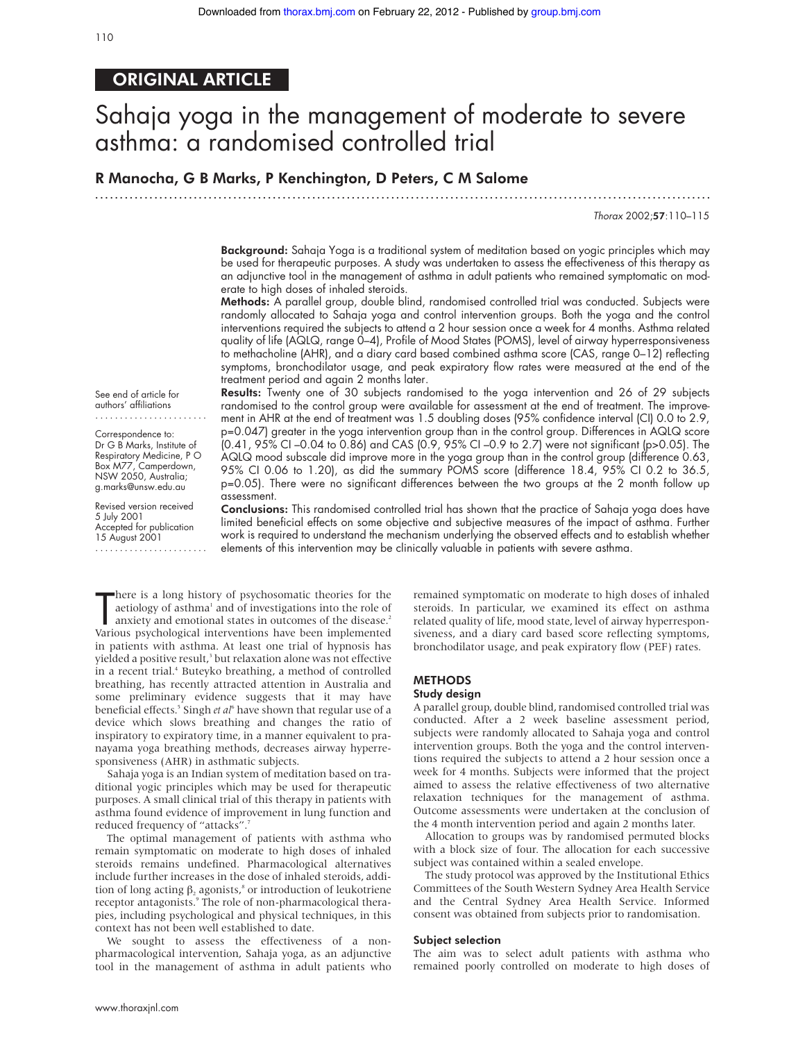# ORIGINAL ARTICLE

# Sahaja yoga in the management of moderate to severe asthma: a randomised controlled trial

R Manocha, G B Marks, P Kenchington, D Peters, C M Salome

.............................................................................................................................

Thorax 2002;57:110–115

Background: Sahaja Yoga is a traditional system of meditation based on yogic principles which may be used for therapeutic purposes. A study was undertaken to assess the effectiveness of this therapy as an adjunctive tool in the management of asthma in adult patients who remained symptomatic on moderate to high doses of inhaled steroids.

Methods: A parallel group, double blind, randomised controlled trial was conducted. Subjects were randomly allocated to Sahaja yoga and control intervention groups. Both the yoga and the control interventions required the subjects to attend a 2 hour session once a week for 4 months. Asthma related quality of life (AQLQ, range 0–4), Profile of Mood States (POMS), level of airway hyperresponsiveness to methacholine (AHR), and a diary card based combined asthma score (CAS, range 0–12) reflecting symptoms, bronchodilator usage, and peak expiratory flow rates were measured at the end of the treatment period and again 2 months later.

See end of article for authors' affiliations .......................

Correspondence to: Dr G B Marks, Institute of Respiratory Medicine, P O Box M77, Camperdown, NSW 2050, Australia; g.marks@unsw.edu.au

Revised version received 5 July 2001 Accepted for publication 15 August 2001 .......................

Results: Twenty one of 30 subjects randomised to the yoga intervention and 26 of 29 subjects randomised to the control group were available for assessment at the end of treatment. The improvement in AHR at the end of treatment was 1.5 doubling doses (95% confidence interval (CI) 0.0 to 2.9, p=0.047) greater in the yoga intervention group than in the control group. Differences in AQLQ score (0.41, 95% CI –0.04 to 0.86) and CAS (0.9, 95% CI –0.9 to 2.7) were not significant (p>0.05). The AQLQ mood subscale did improve more in the yoga group than in the control group (difference 0.63, 95% CI 0.06 to 1.20), as did the summary POMS score (difference 18.4, 95% CI 0.2 to 36.5, p=0.05). There were no significant differences between the two groups at the 2 month follow up assessment.

Conclusions: This randomised controlled trial has shown that the practice of Sahaja yoga does have limited beneficial effects on some objective and subjective measures of the impact of asthma. Further work is required to understand the mechanism underlying the observed effects and to establish whether elements of this intervention may be clinically valuable in patients with severe asthma.

There is a long history of psychosomatic theories for the aetiology of asthma<sup>1</sup> and of investigations into the role of anxiety and emotional states in outcomes of the disease.<sup>2</sup> Various psychological interventions have b here is a long history of psychosomatic theories for the aetiology of asthma<sup>1</sup> and of investigations into the role of anxiety and emotional states in outcomes of the disease.<sup>2</sup> in patients with asthma. At least one trial of hypnosis has yielded a positive result,<sup>3</sup> but relaxation alone was not effective in a recent trial.<sup>4</sup> Buteyko breathing, a method of controlled breathing, has recently attracted attention in Australia and some preliminary evidence suggests that it may have beneficial effects.<sup>5</sup> Singh *et al*<sup>6</sup> have shown that regular use of a device which slows breathing and changes the ratio of inspiratory to expiratory time, in a manner equivalent to pranayama yoga breathing methods, decreases airway hyperresponsiveness (AHR) in asthmatic subjects.

Sahaja yoga is an Indian system of meditation based on traditional yogic principles which may be used for therapeutic purposes. A small clinical trial of this therapy in patients with asthma found evidence of improvement in lung function and reduced frequency of "attacks".

The optimal management of patients with asthma who remain symptomatic on moderate to high doses of inhaled steroids remains undefined. Pharmacological alternatives include further increases in the dose of inhaled steroids, addition of long acting  $\beta_2$  agonists,<sup>8</sup> or introduction of leukotriene receptor antagonists.<sup>9</sup> The role of non-pharmacological therapies, including psychological and physical techniques, in this context has not been well established to date.

We sought to assess the effectiveness of a nonpharmacological intervention, Sahaja yoga, as an adjunctive tool in the management of asthma in adult patients who

remained symptomatic on moderate to high doses of inhaled steroids. In particular, we examined its effect on asthma related quality of life, mood state, level of airway hyperresponsiveness, and a diary card based score reflecting symptoms, bronchodilator usage, and peak expiratory flow (PEF) rates.

### **METHODS**

#### Study design

A parallel group, double blind, randomised controlled trial was conducted. After a 2 week baseline assessment period, subjects were randomly allocated to Sahaja yoga and control intervention groups. Both the yoga and the control interventions required the subjects to attend a 2 hour session once a week for 4 months. Subjects were informed that the project aimed to assess the relative effectiveness of two alternative relaxation techniques for the management of asthma. Outcome assessments were undertaken at the conclusion of the 4 month intervention period and again 2 months later.

Allocation to groups was by randomised permuted blocks with a block size of four. The allocation for each successive subject was contained within a sealed envelope.

The study protocol was approved by the Institutional Ethics Committees of the South Western Sydney Area Health Service and the Central Sydney Area Health Service. Informed consent was obtained from subjects prior to randomisation.

#### Subject selection

The aim was to select adult patients with asthma who remained poorly controlled on moderate to high doses of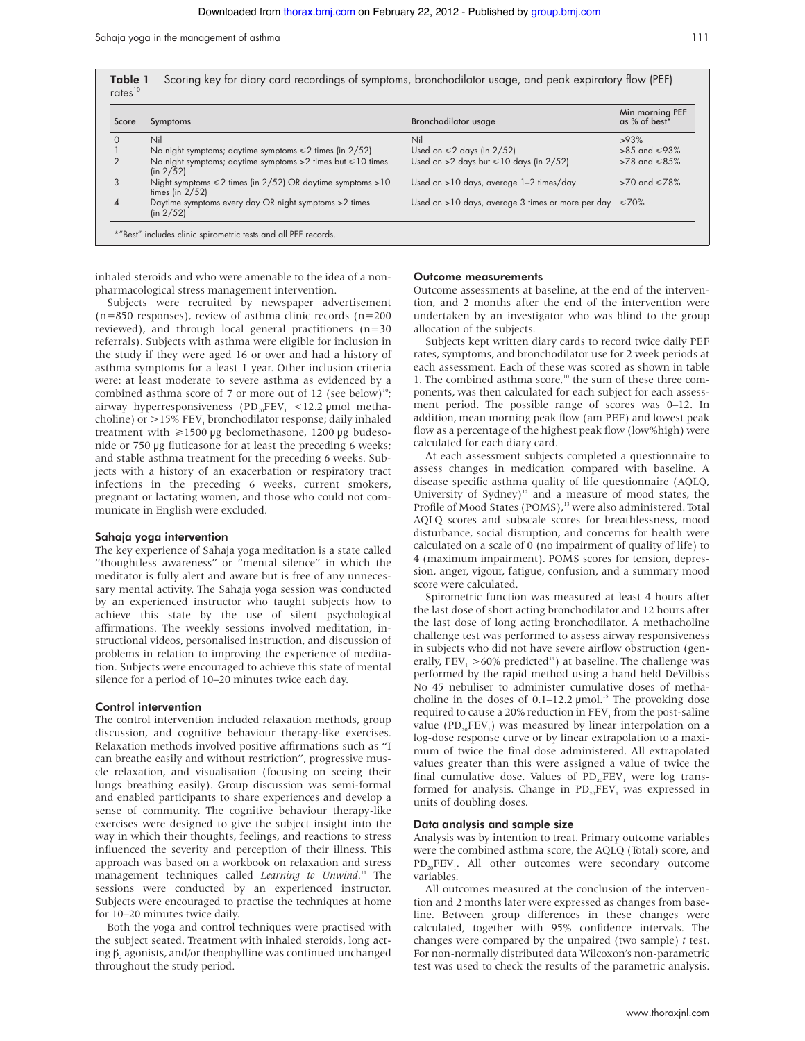Sahaja yoga in the management of asthma 111

| Score          | Symptoms                                                                               | <b>Bronchodilator usage</b>                       | Min morning PEF<br>as % of best* |
|----------------|----------------------------------------------------------------------------------------|---------------------------------------------------|----------------------------------|
| 0              | Nil                                                                                    | Nil                                               | >93%                             |
|                | No night symptoms; daytime symptoms $\leq 2$ times (in 2/52)                           | Used on $\leq 2$ days (in 2/52)                   | $>85$ and $\leq 93\%$            |
| $\overline{2}$ | No night symptoms; daytime symptoms $>2$ times but $\leq 10$ times<br>(in 2/52)        | Used on >2 days but $\leq 10$ days (in 2/52)      | $>78$ and $\leq 85\%$            |
| 3              | Night symptoms $\leq 2$ times (in 2/52) OR daytime symptoms > 10<br>times (in $2/52$ ) | Used on >10 days, average 1-2 times/day           | $>70$ and $\leq 78\%$            |
| 4              | Daytime symptoms every day OR night symptoms > 2 times<br>(in 2/52)                    | Used on >10 days, average 3 times or more per day | $\leq 70\%$                      |

inhaled steroids and who were amenable to the idea of a nonpharmacological stress management intervention.

Subjects were recruited by newspaper advertisement (n=850 responses), review of asthma clinic records (n=200 reviewed), and through local general practitioners (n=30 referrals). Subjects with asthma were eligible for inclusion in the study if they were aged 16 or over and had a history of asthma symptoms for a least 1 year. Other inclusion criteria were: at least moderate to severe asthma as evidenced by a combined asthma score of 7 or more out of 12 (see below)<sup>10</sup>; airway hyperresponsiveness (PD<sub>20</sub>FEV<sub>1</sub> <12.2 µmol methacholine) or  $>$ 15% FEV<sub>1</sub> bronchodilator response; daily inhaled treatment with  $\geq 1500 \text{ µg}$  beclomethasone, 1200  $\text{µg}$  budesonide or 750 µg fluticasone for at least the preceding 6 weeks; and stable asthma treatment for the preceding 6 weeks. Subjects with a history of an exacerbation or respiratory tract infections in the preceding 6 weeks, current smokers, pregnant or lactating women, and those who could not communicate in English were excluded.

#### Sahaja yoga intervention

The key experience of Sahaja yoga meditation is a state called "thoughtless awareness" or "mental silence" in which the meditator is fully alert and aware but is free of any unnecessary mental activity. The Sahaja yoga session was conducted by an experienced instructor who taught subjects how to achieve this state by the use of silent psychological affirmations. The weekly sessions involved meditation, instructional videos, personalised instruction, and discussion of problems in relation to improving the experience of meditation. Subjects were encouraged to achieve this state of mental silence for a period of 10–20 minutes twice each day.

#### Control intervention

The control intervention included relaxation methods, group discussion, and cognitive behaviour therapy-like exercises. Relaxation methods involved positive affirmations such as "I can breathe easily and without restriction", progressive muscle relaxation, and visualisation (focusing on seeing their lungs breathing easily). Group discussion was semi-formal and enabled participants to share experiences and develop a sense of community. The cognitive behaviour therapy-like exercises were designed to give the subject insight into the way in which their thoughts, feelings, and reactions to stress influenced the severity and perception of their illness. This approach was based on a workbook on relaxation and stress management techniques called *Learning to Unwind*. <sup>11</sup> The sessions were conducted by an experienced instructor. Subjects were encouraged to practise the techniques at home for 10–20 minutes twice daily.

Both the yoga and control techniques were practised with the subject seated. Treatment with inhaled steroids, long acting  $\beta_2$  agonists, and/or theophylline was continued unchanged throughout the study period.

#### Outcome measurements

Outcome assessments at baseline, at the end of the intervention, and 2 months after the end of the intervention were undertaken by an investigator who was blind to the group allocation of the subjects.

Subjects kept written diary cards to record twice daily PEF rates, symptoms, and bronchodilator use for 2 week periods at each assessment. Each of these was scored as shown in table 1. The combined asthma score, $10$ <sup>th</sup> the sum of these three components, was then calculated for each subject for each assessment period. The possible range of scores was 0–12. In addition, mean morning peak flow (am PEF) and lowest peak flow as a percentage of the highest peak flow (low%high) were calculated for each diary card.

At each assessment subjects completed a questionnaire to assess changes in medication compared with baseline. A disease specific asthma quality of life questionnaire (AQLQ, University of Sydney)<sup>12</sup> and a measure of mood states, the Profile of Mood States (POMS),<sup>13</sup> were also administered. Total AQLQ scores and subscale scores for breathlessness, mood disturbance, social disruption, and concerns for health were calculated on a scale of 0 (no impairment of quality of life) to 4 (maximum impairment). POMS scores for tension, depression, anger, vigour, fatigue, confusion, and a summary mood score were calculated.

Spirometric function was measured at least 4 hours after the last dose of short acting bronchodilator and 12 hours after the last dose of long acting bronchodilator. A methacholine challenge test was performed to assess airway responsiveness in subjects who did not have severe airflow obstruction (generally, FEV<sub>1</sub> >60% predicted<sup>14</sup>) at baseline. The challenge was performed by the rapid method using a hand held DeVilbiss No 45 nebuliser to administer cumulative doses of methacholine in the doses of 0.1–12.2  $\mu$ mol.<sup>15</sup> The provoking dose required to cause a 20% reduction in  $FEV<sub>1</sub>$  from the post-saline value (PD<sub>20</sub>FEV<sub>1</sub>) was measured by linear interpolation on a log-dose response curve or by linear extrapolation to a maximum of twice the final dose administered. All extrapolated values greater than this were assigned a value of twice the final cumulative dose. Values of  $PD_{20}FEV$ , were log transformed for analysis. Change in  $PD_{20}FEV_1$  was expressed in units of doubling doses.

#### Data analysis and sample size

Analysis was by intention to treat. Primary outcome variables were the combined asthma score, the AQLQ (Total) score, and  $PD_{20}FEV_1$ . All other outcomes were secondary outcome variables.

All outcomes measured at the conclusion of the intervention and 2 months later were expressed as changes from baseline. Between group differences in these changes were calculated, together with 95% confidence intervals. The changes were compared by the unpaired (two sample) *t* test. For non-normally distributed data Wilcoxon's non-parametric test was used to check the results of the parametric analysis.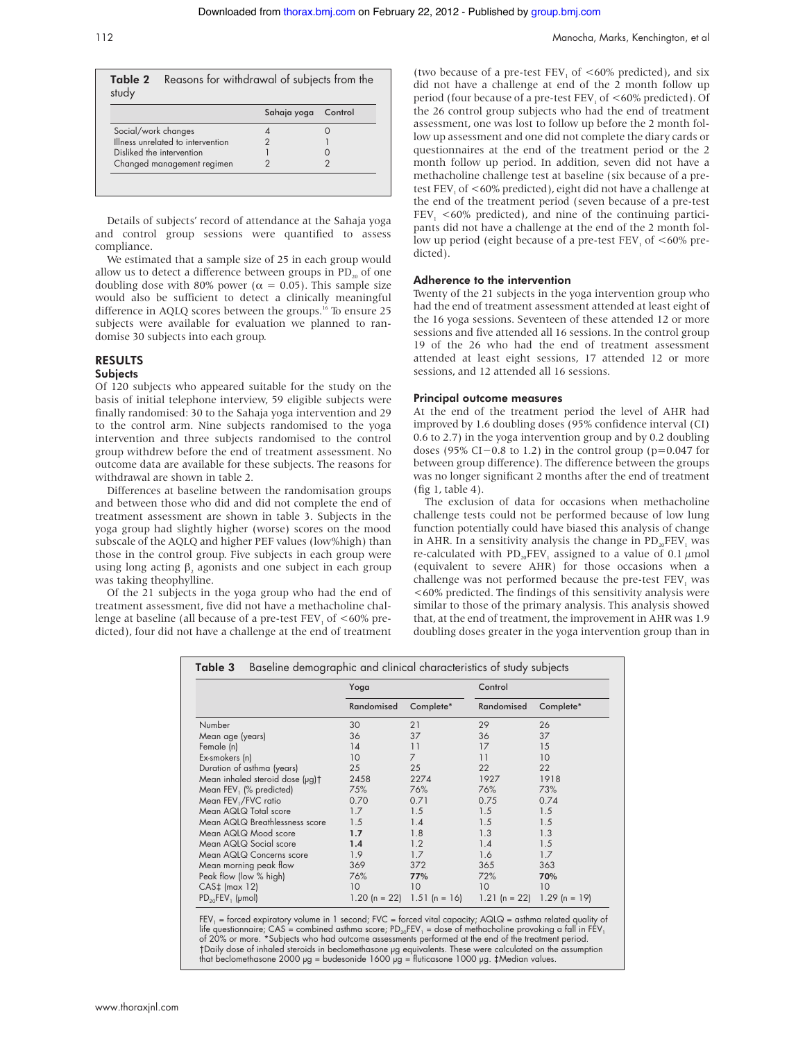| study | Table 2 Reasons for withdrawal of subjects from the |
|-------|-----------------------------------------------------|
|       |                                                     |

|                                   | Sahaja yoga | Control |
|-----------------------------------|-------------|---------|
| Social/work changes               |             |         |
| Illness unrelated to intervention |             |         |
| Disliked the intervention         |             |         |
| Changed management regimen        |             |         |

Details of subjects' record of attendance at the Sahaja yoga and control group sessions were quantified to assess compliance.

We estimated that a sample size of 25 in each group would allow us to detect a difference between groups in  $PD_{20}$  of one doubling dose with 80% power ( $\alpha = 0.05$ ). This sample size would also be sufficient to detect a clinically meaningful difference in AQLQ scores between the groups.<sup>16</sup> To ensure 25 subjects were available for evaluation we planned to randomise 30 subjects into each group.

## RESULTS

#### Subjects

Of 120 subjects who appeared suitable for the study on the basis of initial telephone interview, 59 eligible subjects were finally randomised: 30 to the Sahaja yoga intervention and 29 to the control arm. Nine subjects randomised to the yoga intervention and three subjects randomised to the control group withdrew before the end of treatment assessment. No outcome data are available for these subjects. The reasons for withdrawal are shown in table 2.

Differences at baseline between the randomisation groups and between those who did and did not complete the end of treatment assessment are shown in table 3. Subjects in the yoga group had slightly higher (worse) scores on the mood subscale of the AQLQ and higher PEF values (low%high) than those in the control group. Five subjects in each group were using long acting β, agonists and one subject in each group was taking theophylline.

Of the 21 subjects in the yoga group who had the end of treatment assessment, five did not have a methacholine challenge at baseline (all because of a pre-test FEV<sub>1</sub> of  $<60\%$  predicted), four did not have a challenge at the end of treatment

(two because of a pre-test FEV<sub>1</sub> of  $<60\%$  predicted), and six did not have a challenge at end of the 2 month follow up period (four because of a pre-test  $FEV<sub>1</sub>$  of  $<60\%$  predicted). Of the 26 control group subjects who had the end of treatment assessment, one was lost to follow up before the 2 month follow up assessment and one did not complete the diary cards or questionnaires at the end of the treatment period or the 2 month follow up period. In addition, seven did not have a methacholine challenge test at baseline (six because of a pretest FEV<sub>1</sub> of <60% predicted), eight did not have a challenge at the end of the treatment period (seven because of a pre-test  $FEV<sub>1</sub> < 60\%$  predicted), and nine of the continuing participants did not have a challenge at the end of the 2 month follow up period (eight because of a pre-test  $FEV<sub>1</sub>$  of  $<60\%$  predicted).

#### Adherence to the intervention

Twenty of the 21 subjects in the yoga intervention group who had the end of treatment assessment attended at least eight of the 16 yoga sessions. Seventeen of these attended 12 or more sessions and five attended all 16 sessions. In the control group 19 of the 26 who had the end of treatment assessment attended at least eight sessions, 17 attended 12 or more sessions, and 12 attended all 16 sessions.

#### Principal outcome measures

At the end of the treatment period the level of AHR had improved by 1.6 doubling doses (95% confidence interval (CI) 0.6 to 2.7) in the yoga intervention group and by 0.2 doubling doses (95% CI−0.8 to 1.2) in the control group (p=0.047 for between group difference). The difference between the groups was no longer significant 2 months after the end of treatment (fig 1, table 4).

The exclusion of data for occasions when methacholine challenge tests could not be performed because of low lung function potentially could have biased this analysis of change in AHR. In a sensitivity analysis the change in  $PD_{20}FEV$ <sub>1</sub> was re-calculated with  $PD_{20}FEV_1$  assigned to a value of 0.1  $\mu$ mol (equivalent to severe AHR) for those occasions when a challenge was not performed because the pre-test FEV, was <60% predicted. The findings of this sensitivity analysis were similar to those of the primary analysis. This analysis showed that, at the end of treatment, the improvement in AHR was 1.9 doubling doses greater in the yoga intervention group than in

|                                 | Yoga          |                | Control       |                 |
|---------------------------------|---------------|----------------|---------------|-----------------|
|                                 | Randomised    | Complete*      | Randomised    | Complete*       |
| Number                          | 30            | 21             | 29            | 26              |
| Mean age (years)                | 36            | 37             | 36            | 37              |
| Female (n)                      | 14            | 11             | 17            | 15              |
| Ex-smokers (n)                  | 10            | $\overline{7}$ | 11            | 10              |
| Duration of asthma (years)      | 25            | 25             | 22            | 22              |
| Mean inhaled steroid dose (µg)† | 2458          | 2274           | 1927          | 1918            |
| Mean FEV, (% predicted)         | 75%           | 76%            | 76%           | 73%             |
| Mean FEV,/FVC ratio             | 0.70          | 0.71           | 0.75          | 0.74            |
| Mean AQLQ Total score           | 1.7           | 1.5            | 1.5           | 1.5             |
| Mean AQLQ Breathlessness score  | 1.5           | 1.4            | 1.5           | 1.5             |
| Mean AQLQ Mood score            | 1.7           | 1.8            | 1.3           | 1.3             |
| Mean AQLQ Social score          | 1.4           | 1.2            | 1.4           | 1.5             |
| Mean AQLQ Concerns score        | 1.9           | 1.7            | 1.6           | 1.7             |
| Mean morning peak flow          | 369           | 372            | 365           | 363             |
| Peak flow (low % high)          | 76%           | 77%            | 72%           | 70%             |
| $CAS+$ (max 12)                 | 10            | 10             | 10            | 10              |
| $PD_{20}FEV_1$ (µmol)           | 1.20 (n = 22) | $1.51(n = 16)$ | 1.21 (n = 22) | $1.29$ (n = 19) |

FEV<sub>1</sub> = forced expiratory volume in 1 second; FVC = forced vital capacity; AQLQ = asthma related quality of life questionnaire; CAS = combined asthma score; PD<sub>20</sub>FEV<sub>1</sub> = dose of methacholine provoking a fall in FEV<sub>1</sub><br>of 20% or more. \*Subjects who had outcome assessments performed at the end of the treatment period. †Daily dose of inhaled steroids in beclomethasone µg equivalents. These were calculated on the assumption<br>that beclomethasone 2000 µg = budesonide 1600 µg = fluticasone 1000 µg. ‡Median values.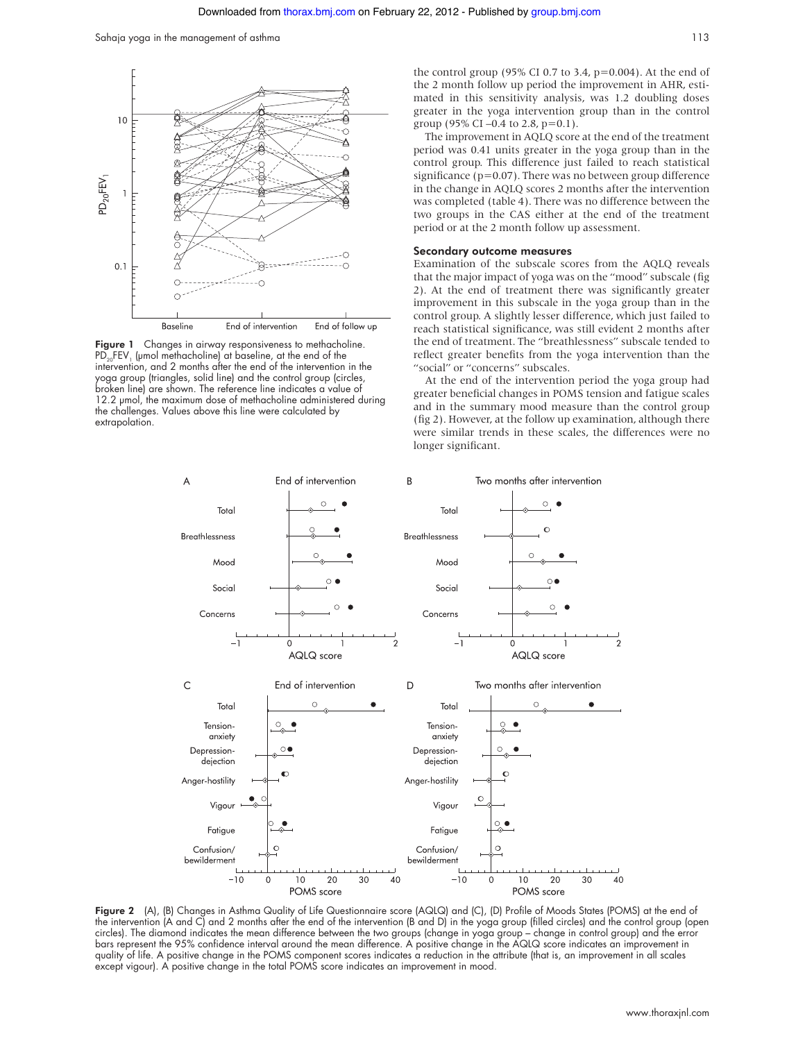

Figure 1 Changes in airway responsiveness to methacholine.  $PD_{20}FEV_1$  (µmol methacholine) at baseline, at the end of the intervention, and 2 months after the end of the intervention in the yoga group (triangles, solid line) and the control group (circles, broken line) are shown. The reference line indicates a value of 12.2 µmol, the maximum dose of methacholine administered during the challenges. Values above this line were calculated by extrapolation.

the control group (95% CI 0.7 to 3.4,  $p=0.004$ ). At the end of the 2 month follow up period the improvement in AHR, estimated in this sensitivity analysis, was 1.2 doubling doses greater in the yoga intervention group than in the control group (95% CI –0.4 to 2.8, p=0.1).

The improvement in AQLQ score at the end of the treatment period was 0.41 units greater in the yoga group than in the control group. This difference just failed to reach statistical significance ( $p=0.07$ ). There was no between group difference in the change in AQLQ scores 2 months after the intervention was completed (table 4). There was no difference between the two groups in the CAS either at the end of the treatment period or at the 2 month follow up assessment.

#### Secondary outcome measures

Examination of the subscale scores from the AQLQ reveals that the major impact of yoga was on the "mood" subscale (fig 2). At the end of treatment there was significantly greater improvement in this subscale in the yoga group than in the control group. A slightly lesser difference, which just failed to reach statistical significance, was still evident 2 months after the end of treatment. The "breathlessness" subscale tended to reflect greater benefits from the yoga intervention than the "social" or "concerns" subscales.

At the end of the intervention period the yoga group had greater beneficial changes in POMS tension and fatigue scales and in the summary mood measure than the control group (fig 2). However, at the follow up examination, although there were similar trends in these scales, the differences were no longer significant.



Figure 2 (A), (B) Changes in Asthma Quality of Life Questionnaire score (AQLQ) and (C), (D) Profile of Moods States (POMS) at the end of the intervention (A and C) and 2 months after the end of the intervention (B and D) in the yoga group (filled circles) and the control group (open circles). The diamond indicates the mean difference between the two groups (change in yoga group – change in control group) and the error bars represent the 95% confidence interval around the mean difference. A positive change in the AQLQ score indicates an improvement in quality of life. A positive change in the POMS component scores indicates a reduction in the attribute (that is, an improvement in all scales except vigour). A positive change in the total POMS score indicates an improvement in mood.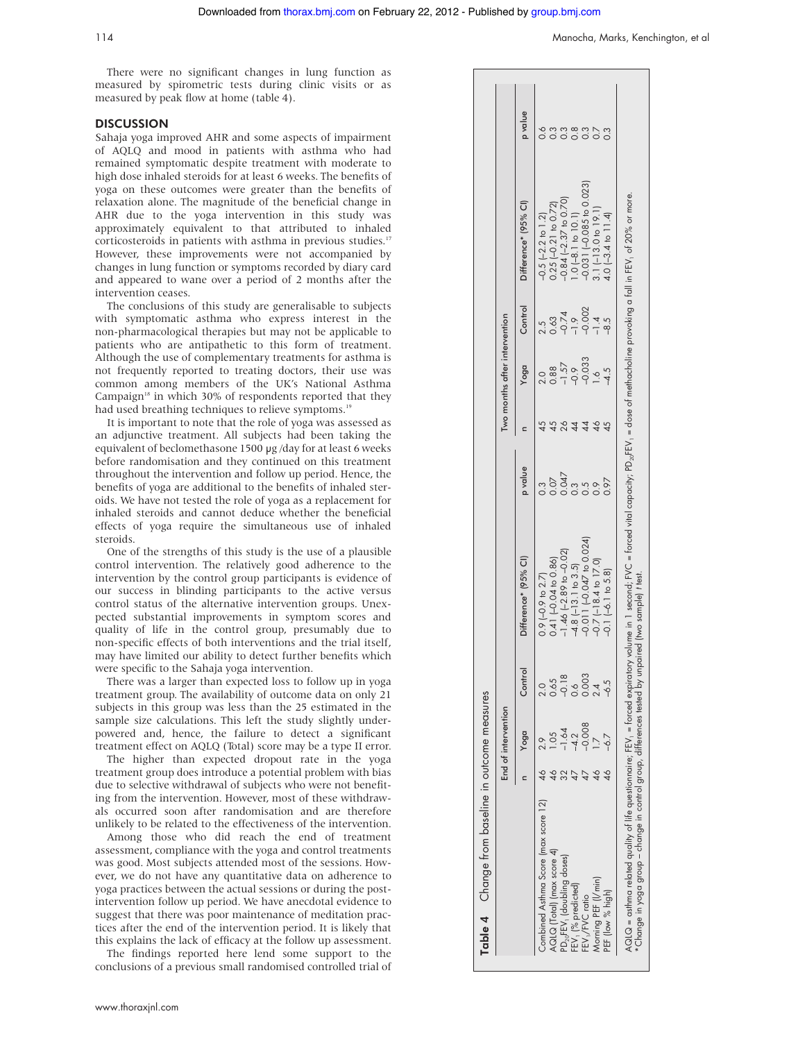There were no significant changes in lung function as measured by spirometric tests during clinic visits or as measured by peak flow at home (table 4).

#### **DISCUSSION**

Sahaja yoga improved AHR and some aspects of impairment of AQLQ and mood in patients with asthma who had remained symptomatic despite treatment with moderate to high dose inhaled steroids for at least 6 weeks. The benefits of yoga on these outcomes were greater than the benefits of relaxation alone. The magnitude of the beneficial change in AHR due to the yoga intervention in this study was approximately equivalent to that attributed to inhaled corticosteroids in patients with asthma in previous studies.<sup>17</sup> However, these improvements were not accompanied by changes in lung function or symptoms recorded by diary card and appeared to wane over a period of 2 months after the intervention ceases.

The conclusions of this study are generalisable to subjects with symptomatic asthma who express interest in the non-pharmacological therapies but may not be applicable to patients who are antipathetic to this form of treatment. Although the use of complementary treatments for asthma is not frequently reported to treating doctors, their use was common among members of the UK's National Asthma Campaign $18$  in which 30% of respondents reported that they had used breathing techniques to relieve symptoms.<sup>1</sup>

It is important to note that the role of yoga was assessed as an adjunctive treatment. All subjects had been taking the equivalent of beclomethasone 1500 µg /day for at least 6 weeks before randomisation and they continued on this treatment throughout the intervention and follow up period. Hence, the benefits of yoga are additional to the benefits of inhaled steroids. We have not tested the role of yoga as a replacement for inhaled steroids and cannot deduce whether the beneficial effects of yoga require the simultaneous use of inhaled steroids.

One of the strengths of this study is the use of a plausible control intervention. The relatively good adherence to the intervention by the control group participants is evidence of our success in blinding participants to the active versus control status of the alternative intervention groups. Unexpected substantial improvements in symptom scores and quality of life in the control group, presumably due to non-specific effects of both interventions and the trial itself, may have limited our ability to detect further benefits which were specific to the Sahaja yoga intervention.

There was a larger than expected loss to follow up in yoga treatment group. The availability of outcome data on only 21 subjects in this group was less than the 25 estimated in the sample size calculations. This left the study slightly underpowered and, hence, the failure to detect a significant treatment effect on AQLQ (Total) score may be a type II error.

The higher than expected dropout rate in the yoga treatment group does introduce a potential problem with bias due to selective withdrawal of subjects who were not benefiting from the intervention. However, most of these withdrawals occurred soon after randomisation and are therefore unlikely to be related to the effectiveness of the intervention.

Among those who did reach the end of treatment assessment, compliance with the yoga and control treatments was good. Most subjects attended most of the sessions. However, we do not have any quantitative data on adherence to yoga practices between the actual sessions or during the postintervention follow up period. We have anecdotal evidence to suggest that there was poor maintenance of meditation practices after the end of the intervention period. It is likely that this explains the lack of efficacy at the follow up assessment.

The findings reported here lend some support to the conclusions of a previous small randomised controlled trial of

|                                      | End of intervention |         |                                 |                               |    | Two months after intervention                  |                                       |                             |               |
|--------------------------------------|---------------------|---------|---------------------------------|-------------------------------|----|------------------------------------------------|---------------------------------------|-----------------------------|---------------|
|                                      | Yoga                | Control | Difference* (95% CI)            | p value                       |    | Yoga                                           | Control                               | Difference* (95% Cl)        | p value       |
| Combined Asthma Score (max score 12) |                     |         | $0.9$ (-0.9 to 2.7)             | 0.3                           |    | $\frac{0}{2}$                                  |                                       | $-0.5$ $(-2.2$ to 1.2)      |               |
| AQLQ [Total] (max score 4)           |                     | 0.65    | 0.41 $(-0.04 \text{ to } 0.86)$ |                               | 45 |                                                |                                       | $0.25$ $[-0.21$ to $0.72]$  |               |
| $PD_{20}$ FEV, (doubling doses)      | 1.64                | $-0.18$ | $-1.46$ $(-2.89$ to $-0.02$ )   | $0.047$<br>$0.047$<br>$0.005$ | 26 |                                                |                                       | $0.84$ ( $-2.37$ to 0.70)   |               |
| -EV, (% predicted)                   | 4.2                 |         | $-4.8$ $[-13.1$ to 3.5          |                               |    |                                                |                                       | $.0[-8.1 \text{ to } 10.1]$ | $\frac{8}{2}$ |
| FEV,/FVC ratio                       | $-0.008$            | 0.003   | $-0.011(-0.047)$ to 0.024)      |                               |    | $\frac{0.88}{-1.57}$<br>$\frac{-0.57}{-0.033}$ | $0.63$<br>$0.74$<br>$0.002$<br>$-1.4$ | 0.031 (-0.085 to 0.023)     |               |
| Morning PEF (I/min)                  |                     |         | $-0.7$ ( $-18.4$ to $17.0$ )    | 9.9                           |    | 1.6                                            |                                       | $1.1 (-13.0619.1$           |               |
| PEF (low % high)                     |                     | $-6.5$  | $-0.1$ $(-6.1$ to 5.8)          |                               |    | $-4.5$                                         | $-8.5$                                | $1.0$ $[-3.4$ to 11.4)      |               |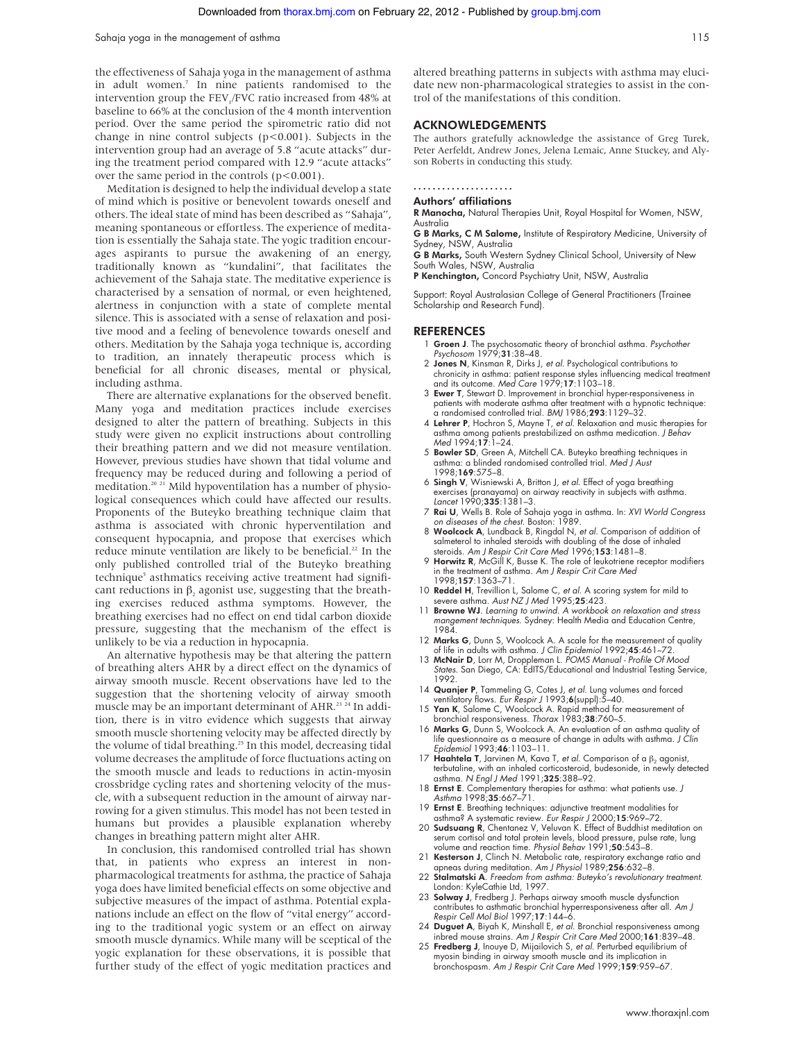the effectiveness of Sahaja yoga in the management of asthma in adult women.<sup>7</sup> In nine patients randomised to the intervention group the FEV<sub>1</sub>/FVC ratio increased from 48% at baseline to 66% at the conclusion of the 4 month intervention period. Over the same period the spirometric ratio did not change in nine control subjects ( $p$ <0.001). Subjects in the intervention group had an average of 5.8 "acute attacks" during the treatment period compared with 12.9 "acute attacks" over the same period in the controls  $(p<0.001)$ .

Meditation is designed to help the individual develop a state of mind which is positive or benevolent towards oneself and others. The ideal state of mind has been described as "Sahaja", meaning spontaneous or effortless. The experience of meditation is essentially the Sahaja state. The yogic tradition encourages aspirants to pursue the awakening of an energy, traditionally known as "kundalini", that facilitates the achievement of the Sahaja state. The meditative experience is characterised by a sensation of normal, or even heightened, alertness in conjunction with a state of complete mental silence. This is associated with a sense of relaxation and positive mood and a feeling of benevolence towards oneself and others. Meditation by the Sahaja yoga technique is, according to tradition, an innately therapeutic process which is beneficial for all chronic diseases, mental or physical, including asthma.

There are alternative explanations for the observed benefit. Many yoga and meditation practices include exercises designed to alter the pattern of breathing. Subjects in this study were given no explicit instructions about controlling their breathing pattern and we did not measure ventilation. However, previous studies have shown that tidal volume and frequency may be reduced during and following a period of meditation.<sup>20 21</sup> Mild hypoventilation has a number of physiological consequences which could have affected our results. Proponents of the Buteyko breathing technique claim that asthma is associated with chronic hyperventilation and consequent hypocapnia, and propose that exercises which reduce minute ventilation are likely to be beneficial.<sup>22</sup> In the only published controlled trial of the Buteyko breathing technique<sup>5</sup> asthmatics receiving active treatment had significant reductions in  $\beta$ , agonist use, suggesting that the breathing exercises reduced asthma symptoms. However, the breathing exercises had no effect on end tidal carbon dioxide pressure, suggesting that the mechanism of the effect is unlikely to be via a reduction in hypocapnia.

An alternative hypothesis may be that altering the pattern of breathing alters AHR by a direct effect on the dynamics of airway smooth muscle. Recent observations have led to the suggestion that the shortening velocity of airway smooth muscle may be an important determinant of AHR.<sup>23 24</sup> In addition, there is in vitro evidence which suggests that airway smooth muscle shortening velocity may be affected directly by the volume of tidal breathing.<sup>25</sup> In this model, decreasing tidal volume decreases the amplitude of force fluctuations acting on the smooth muscle and leads to reductions in actin-myosin crossbridge cycling rates and shortening velocity of the muscle, with a subsequent reduction in the amount of airway narrowing for a given stimulus. This model has not been tested in humans but provides a plausible explanation whereby changes in breathing pattern might alter AHR.

In conclusion, this randomised controlled trial has shown that, in patients who express an interest in nonpharmacological treatments for asthma, the practice of Sahaja yoga does have limited beneficial effects on some objective and subjective measures of the impact of asthma. Potential explanations include an effect on the flow of "vital energy" according to the traditional yogic system or an effect on airway smooth muscle dynamics. While many will be sceptical of the yogic explanation for these observations, it is possible that further study of the effect of yogic meditation practices and

altered breathing patterns in subjects with asthma may elucidate new non-pharmacological strategies to assist in the control of the manifestations of this condition.

#### ACKNOWLEDGEMENTS

The authors gratefully acknowledge the assistance of Greg Turek, Peter Aerfeldt, Andrew Jones, Jelena Lemaic, Anne Stuckey, and Alyson Roberts in conducting this study.

#### .....................

Authors' affiliations

R Manocha, Natural Therapies Unit, Royal Hospital for Women, NSW, Australia

G B Marks, C M Salome, Institute of Respiratory Medicine, University of Sydney, NSW, Australia

G B Marks, South Western Sydney Clinical School, University of New South Wales, NSW, Australia

P Kenchington, Concord Psychiatry Unit, NSW, Australia

Support: Royal Australasian College of General Practitioners (Trainee Scholarship and Research Fund).

#### **REFERENCES**

- 1 Groen J. The psychosomatic theory of bronchial asthma. Psychother Psychosom 1979;31:38–48.
- 2 Jones N, Kinsman R, Dirks J, et al. Psychological contributions to chronicity in asthma: patient response styles influencing medical treatment and its outcome. Med Care 1979;17:1103–18.
- 3 Ewer T, Stewart D. Improvement in bronchial hyper-responsiveness in patients with moderate asthma after treatment with a hypnotic technique: a randomised controlled trial. BMJ 1986;293:1129–32.
- 4 Lehrer P, Hochron S, Mayne T, et al. Relaxation and music therapies for asthma among patients prestabilized on asthma medication. J Behav Med 1994;17:1–24.
- 5 Bowler SD, Green A, Mitchell CA. Buteyko breathing techniques in asthma: a blinded randomised controlled trial. Med J Aust 1998:169:575-8.
- 6 Singh V, Wisniewski A, Britton J, et al. Effect of yoga breathing exercises (pranayama) on airway reactivity in subjects with asthma. Lancet 1990;335:1381–3.
- 7 Rai U, Wells B. Role of Sahaja yoga in asthma. In: XVI World Congress on diseases of the chest. Boston: 1989.
- 8 Woolcock A, Lundback B, Ringdal N, et al. Comparison of addition of salmeterol to inhaled steroids with doubling of the dose of inhaled<br>steroids. A*m J Respir Crit Care Med* 1996;**153**:1481–8.
- 9 Horwitz R, McGill K, Busse K. The role of leukotriene receptor modifiers in the treatment of asthma. Am J Respir Crit Care Med 1998;157:1363–71.
- 10 Reddel H, Trevillion L, Salome C, et al. A scoring system for mild to severe asthma. Aust NZ J Med 1995;25:423.
- Browne WJ. Learning to unwind. A workbook on relaxation and stress mangemen<sup>t</sup> techniques. Sydney: Health Media and Education Centre, 1984.
- 12 Marks G, Dunn S, Woolcock A. A scale for the measurement of quality of life in adults with asthma. *J Clin Epidemiol* 1992;4**5**:461–72.<br>13 **McNair D**, Lorr M, Droppleman L. POMS Manual - Profile Of Mood
- States. San Diego, CA: EdITS/Educational and Industrial Testing Service, 1992.
- 14 Quanjer P, Tammeling G, Cotes J, et al. Lung volumes and forced ventilatory flows. Eur Respir J 1993;6(suppl):5–40.
- 15 Yan K, Salome C, Woolcock A. Rapid method for measurement of bronchial responsiveness. Thorax 1983;38:760–5.
- 16 Marks G, Dunn S, Woolcock A. An evaluation of an asthma quality of life questionnaire as a measure of change in adults with asthma. J Clin Epidemiol 1993;46:1103–11.
- 17 Haahtela T, Jarvinen M, Kava T, et al. Comparison of a  $β_2$  agonist, terbutaline, with an inhaled corticosteroid, budesonide, in newly detected asthma. N Engl J Med 1991;325:388–92.
- 18 Ernst E. Complementary therapies for asthma: what patients use. J Asthma 1998;35:667–71.
- 19 Ernst E. Breathing techniques: adjunctive treatment modalities for asthma? A systematic review. Eur Respir J 2000;15:969–72.
- 20 Sudsuang R, Chentanez V, Veluvan K. Effect of Buddhist meditation on serum cortisol and total protein levels, blood pressure, pulse rate, lung<br>volume and reaction time. *Physiol Behav* 1991;**50**:543–8.
- 21 Kesterson J, Clinch N. Metabolic rate, respiratory exchange ratio and apneas during meditation. Am J Physiol 1989;256:632–8.
- 22 Stalmatski A. Freedom from asthma: Buteyko's revolutionary treatment. London: KyleCathie Ltd, 1997.
- 23 Solway J, Fredberg J. Perhaps airway smooth muscle dysfunction contributes to asthmatic bronchial hyperresponsiveness after all. Am J Respir Cell Mol Biol 1997;17:144–6.
- 24 Duguet A, Biyah K, Minshall E, et al. Bronchial responsiveness among inbred mouse strains. Am J Respir Crit Care Med 2000;161:839-48.
- 25 Fredberg J, Inouye D, Mijailovich S, et al. Perturbed equilibrium of myosin binding in airway smooth muscle and its implication in bronchospasm. Am J Respir Crit Care Med 1999;159:959–67.